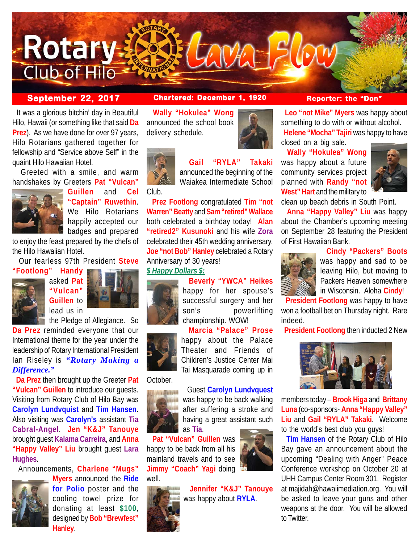

 It was a glorious bitchin' day in Beautiful Hilo, Hawaii (or something like that said **Da Prez**). As we have done for over 97 years, Hilo Rotarians gathered together for fellowship and "Service above Self" in the quaint Hilo Hawaiian Hotel.

 Greeted with a smile, and warm handshakes by Greeters **Pat "Vulcan"**



**Guillen** and **Cel "Captain" Ruwethin**. We Hilo Rotarians happily accepted our badges and prepared

to enjoy the feast prepared by the chefs of the Hilo Hawaiian Hotel.

Our fearless 97th President **Steve**

**"Footlong" Handy**



asked **Pat "Vulcan" Guillen** to lead us in



the Pledge of Allegiance. So **Da Prez** reminded everyone that our International theme for the year under the leadership of Rotary International President Ian Riseley is *"Rotary Making a Difference."*

 **Da Prez** then brought up the Greeter **Pat "Vulcan" Guillen** to introduce our guests. Visiting from Rotary Club of Hilo Bay was **Carolyn Lundvquist** and **Tim Hansen**. Also visiting was **Carolyn's** assistant **Tia Cabral-Angel**. **Jen "K&J" Tanouye** brought guest **Kalama Carreira**, and **Anna "Happy Valley" Liu** brought guest **Lara Hughes**.

Announcements, **Charlene "Mugs"**



**Myers** announced the **Ride for Polio** poster and the cooling towel prize for donating at least **\$100**, designed by **Bob "Brewfest" Hanley**.

### **September 22, 2017 Chartered: December 1, 1920 Reporter: the "Don"**

 **Wally "Hokulea" Wong** announced the school book delivery schedule.



## **Gail "RYLA" Takaki**

announced the beginning of the Waiakea Intermediate School Club.

 **Prez Footlong** congratulated **Tim "not Warren" Beatty** and **Sam "retired" Wallace** both celebrated a birthday today! **Alan "retired2" Kusunoki** and his wife **Zora** celebrated their 45th wedding anniversary. **Joe "not Bob" Hanley** celebrated a Rotary Anniversary of 30 years!

#### *\$ Happy Dollars \$:*

# happy for her spouse's successful surgery and her



championship. WOW! **Marcia "Palace" Prose**

**Beverly "YWCA" Heikes**

happy about the Palace Theater and Friends of Children's Justice Center Mai Tai Masquarade coming up in

### October.



### Guest **Carolyn Lundvquest** was happy to be back walking after suffering a stroke and having a great assistant such as **Tia**.

 **Pat "Vulcan" Guillen** was happy to be back from all his mainland travels and to see **Jimmy "Coach" Yagi** doing



 **Jennifer "K&J" Tanouye** was happy about **RYLA**.



 **Wally "Hokulea" Wong** was happy about a future community services project planned with **Randy "not West" Hart** and the military to

closed on a big sale.



clean up beach debris in South Point.

 **Anna "Happy Valley" Liu** was happy about the Chamber's upcoming meeting on September 28 featuring the President of First Hawaiian Bank.

 **Leo "not Mike" Myers** was happy about something to do with or without alcohol. **Helene "Mocha" Tajiri** was happy to have

**Cindy "Packers" Boots**



was happy and sad to be leaving Hilo, but moving to Packers Heaven somewhere in Wisconsin. Aloha **Cindy**!

 **President Footlong** was happy to have won a football bet on Thursday night. Rare indeed.

**President Footlong** then inducted 2 New



members today – **Brook Higa** and **Brittany Luna** (co-sponsors- **Anna "Happy Valley" Liu** and **Gail "RYLA" Takaki**. Welcome to the world's best club you guys!

 **Tim Hansen** of the Rotary Club of Hilo Bay gave an announcement about the upcoming "Dealing with Anger" Peace Conference workshop on October 20 at UHH Campus Center Room 301. Register at majidah@hawaiimediation.org. You will be asked to leave your guns and other weapons at the door. You will be allowed to Twitter.